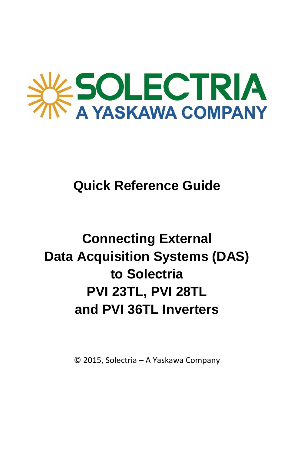

## **Quick Reference Guide**

## **Connecting External Data Acquisition Systems (DAS) to Solectria PVI 23TL, PVI 28TL and PVI 36TL Inverters**

© 2015, Solectria – A Yaskawa Company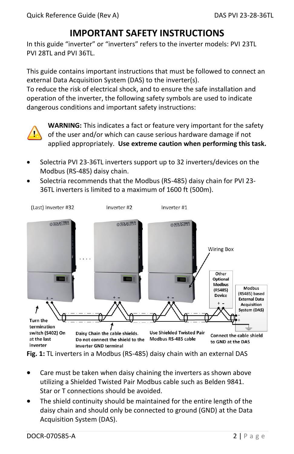## **IMPORTANT SAFETY INSTRUCTIONS**

In this guide "inverter" or "inverters" refers to the inverter models: PVI 23TL PVI 28TL and PVI 36TL.

This guide contains important instructions that must be followed to connect an external Data Acquisition System (DAS) to the inverter(s).

To reduce the risk of electrical shock, and to ensure the safe installation and operation of the inverter, the following safety symbols are used to indicate dangerous conditions and important safety instructions:



**WARNING:** This indicates a fact or feature very important for the safety of the user and/or which can cause serious hardware damage if not applied appropriately. **Use extreme caution when performing this task.**

- Solectria PVI 23-36TL inverters support up to 32 inverters/devices on the Modbus (RS-485) daisy chain.
- Solectria recommends that the Modbus (RS-485) daisy chain for PVI 23- 36TL inverters is limited to a maximum of 1600 ft (500m).



**Fig. 1:** TL inverters in a Modbus (RS-485) daisy chain with an external DAS

- Care must be taken when daisy chaining the inverters as shown above utilizing a Shielded Twisted Pair Modbus cable such as Belden 9841. Star or T connections should be avoided.
- The shield continuity should be maintained for the entire length of the daisy chain and should only be connected to ground (GND) at the Data Acquisition System (DAS).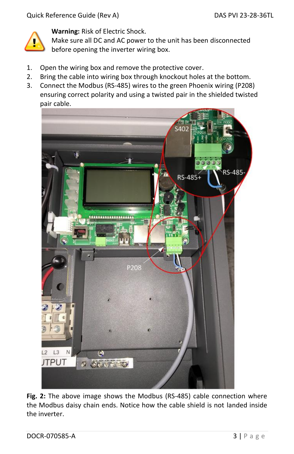

**Warning:** Risk of Electric Shock.

Make sure all DC and AC power to the unit has been disconnected before opening the inverter wiring box.

- 1. Open the wiring box and remove the protective cover.
- 2. Bring the cable into wiring box through knockout holes at the bottom.
- 3. Connect the Modbus (RS-485) wires to the green Phoenix wiring (P208) ensuring correct polarity and using a twisted pair in the shielded twisted pair cable.



**Fig. 2:** The above image shows the Modbus (RS-485) cable connection where the Modbus daisy chain ends. Notice how the cable shield is not landed inside the inverter.